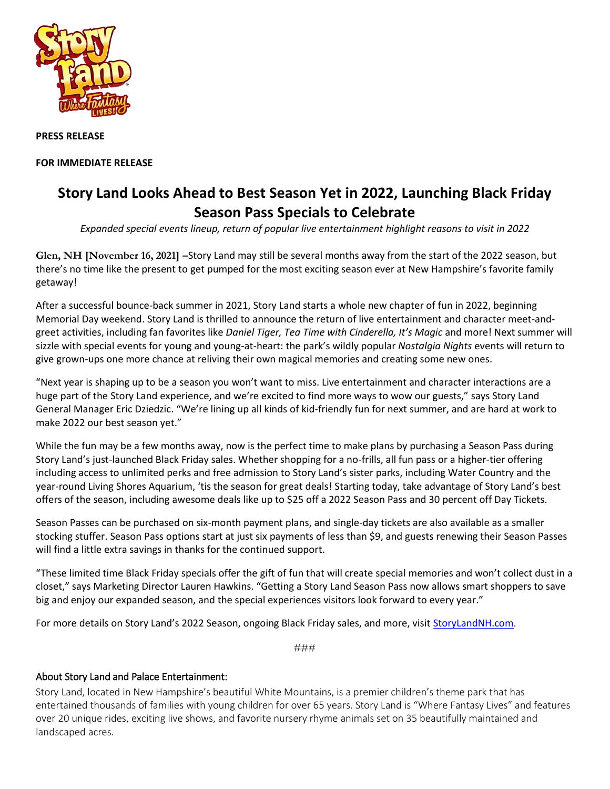

**PRESS RELEASE**

**FOR IMMEDIATE RELEASE**

## **Story Land Looks Ahead to Best Season Yet in 2022, Launching Black Friday Season Pass Specials to Celebrate**

*Expanded special events lineup, return of popular live entertainment highlight reasons to visit in 2022*

**Glen, NH [November 16, 2021] –**Story Land may still be several months away from the start of the 2022 season, but there's no time like the present to get pumped for the most exciting season ever at New Hampshire's favorite family getaway!

After a successful bounce-back summer in 2021, Story Land starts a whole new chapter of fun in 2022, beginning Memorial Day weekend. Story Land is thrilled to announce the return of live entertainment and character meet-andgreet activities, including fan favorites like *Daniel Tiger, Tea Time with Cinderella, It's Magic* and more! Next summer will sizzle with special events for young and young-at-heart: the park's wildly popular *Nostalgia Nights* events will return to give grown-ups one more chance at reliving their own magical memories and creating some new ones.

"Next year is shaping up to be a season you won't want to miss. Live entertainment and character interactions are a huge part of the Story Land experience, and we're excited to find more ways to wow our guests," says Story Land General Manager Eric Dziedzic. "We're lining up all kinds of kid-friendly fun for next summer, and are hard at work to make 2022 our best season yet."

While the fun may be a few months away, now is the perfect time to make plans by purchasing a Season Pass during Story Land's just-launched Black Friday sales. Whether shopping for a no-frills, all fun pass or a higher-tier offering including access to unlimited perks and free admission to Story Land's sister parks, including Water Country and the year-round Living Shores Aquarium, 'tis the season for great deals! Starting today, take advantage of Story Land's best offers of the season, including awesome deals like up to \$25 off a 2022 Season Pass and 30 percent off Day Tickets.

Season Passes can be purchased on six-month payment plans, and single-day tickets are also available as a smaller stocking stuffer. Season Pass options start at just six payments of less than \$9, and guests renewing their Season Passes will find a little extra savings in thanks for the continued support.

"These limited time Black Friday specials offer the gift of fun that will create special memories and won't collect dust in a closet," says Marketing Director Lauren Hawkins. "Getting a Story Land Season Pass now allows smart shoppers to save big and enjoy our expanded season, and the special experiences visitors look forward to every year."

For more details on Story Land's 2022 Season, ongoing Black Friday sales, and more, visit [StoryLandNH.com](http://www.storylandnh.com/).

###

## About Story Land and Palace Entertainment:

Story Land, located in New Hampshire's beautiful White Mountains, is a premier children's theme park that has entertained thousands of families with young children for over 65 years. Story Land is "Where Fantasy Lives" and features over 20 unique rides, exciting live shows, and favorite nursery rhyme animals set on 35 beautifully maintained and landscaped acres.